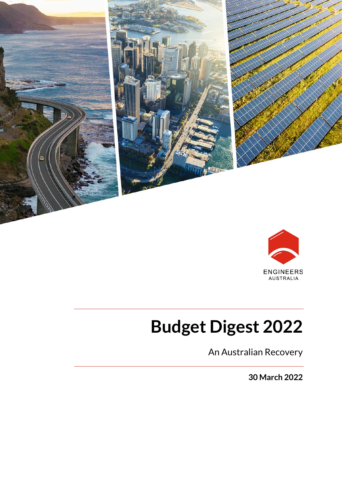



# **Budget Digest 2022**

An Australian Recovery

**30 March 2022**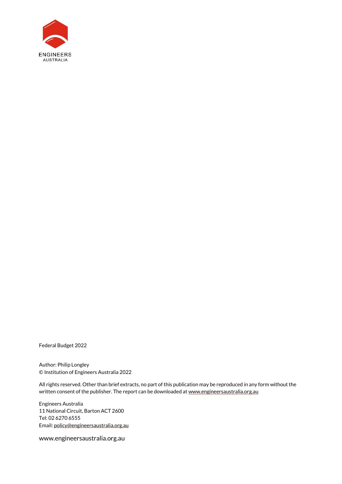

Federal Budget 2022

Author: Philip Longley © Institution of Engineers Australia 2022

All rights reserved. Other than brief extracts, no part of this publication may be reproduced in any form without the written consent of the publisher. The report can be downloaded at www.engineersaustralia.org.au

Engineers Australia 11 National Circuit, Barton ACT 2600 Tel: 02 6270 6555 Email[: policy@engineersaustralia.org.au](mailto:policy@engineersaustralia.org.au) 

www.engineersaustralia.org.au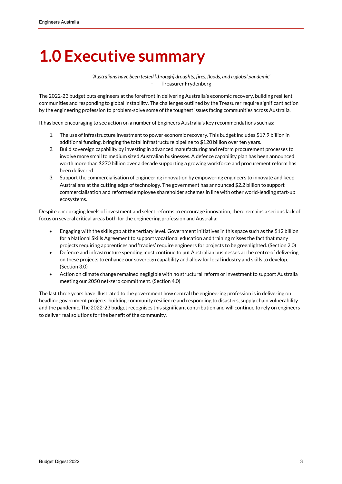### **1.0 Executive summary**

*'Australians have been tested [through] droughts, fires, floods, and a global pandemic'* - Treasurer Frydenberg

The 2022-23 budget puts engineers at the forefront in delivering Australia's economic recovery, building resilient communities and responding to global instability. The challenges outlined by the Treasurer require significant action by the engineering profession to problem-solve some of the toughest issues facing communities across Australia.

It has been encouraging to see action on a number of Engineers Australia's key recommendations such as:

- 1. The use of infrastructure investment to power economic recovery. This budget includes \$17.9 billion in additional funding, bringing the total infrastructure pipeline to \$120 billion over ten years.
- 2. Build sovereign capability by investing in advanced manufacturing and reform procurement processes to involve more small to medium sized Australian businesses. A defence capability plan has been announced worth more than \$270 billion over a decade supporting a growing workforce and procurement reform has been delivered.
- 3. Support the commercialisation of engineering innovation by empowering engineers to innovate and keep Australians at the cutting edge of technology. The government has announced \$2.2 billion to support commercialisation and reformed employee shareholder schemes in line with other world-leading start-up ecosystems.

Despite encouraging levels of investment and select reforms to encourage innovation, there remains a serious lack of focus on several critical areas both for the engineering profession and Australia:

- Engaging with the skills gap at the tertiary level. Government initiatives in this space such as the \$12 billion for a National Skills Agreement to support vocational education and training misses the fact that many projects requiring apprentices and 'tradies' require engineers for projects to be greenlighted. (Section 2.0)
- Defence and infrastructure spending must continue to put Australian businesses at the centre of delivering on these projects to enhance our sovereign capability and allow for local industry and skills to develop. (Section 3.0)
- Action on climate change remained negligible with no structural reform or investment to support Australia meeting our 2050 net-zero commitment. (Section 4.0)

The last three years have illustrated to the government how central the engineering profession is in delivering on headline government projects, building community resilience and responding to disasters, supply chain vulnerability and the pandemic. The 2022-23 budget recognises this significant contribution and will continue to rely on engineers to deliver real solutions for the benefit of the community.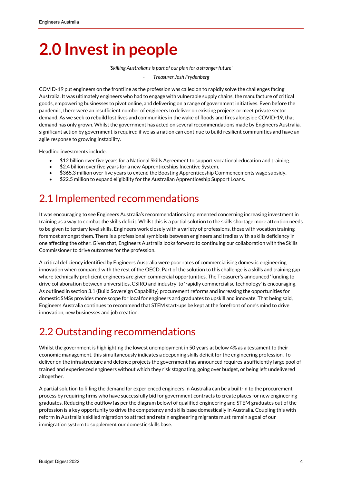### **2.0 Invest in people**

*'Skilling Australians is part of our plan for a stronger future'*

- *Treasurer Josh Frydenberg*

COVID-19 put engineers on the frontline as the profession was called on to rapidly solve the challenges facing Australia. It was ultimately engineers who had to engage with vulnerable supply chains, the manufacture of critical goods, empowering businesses to pivot online, and delivering on a range of government initiatives. Even before the pandemic, there were an insufficient number of engineers to deliver on existing projects or meet private sector demand. As we seek to rebuild lost lives and communities in the wake of floods and fires alongside COVID-19, that demand has only grown. Whilst the government has acted on several recommendations made by Engineers Australia, significant action by government is required if we as a nation can continue to build resilient communities and have an agile response to growing instability.

Headline investments include:

- \$12 billion over five years for a National Skills Agreement to support vocational education and training.
- \$2.4 billion over five years for a new Apprenticeships Incentive System.
- \$365.3 million over five years to extend the Boosting Apprenticeship Commencements wage subsidy.
- \$22.5 million to expand eligibility for the Australian Apprenticeship Support Loans.

### 2.1 Implemented recommendations

It was encouraging to see Engineers Australia's recommendations implemented concerning increasing investment in training as a way to combat the skills deficit. Whilst this is a partial solution to the skills shortage more attention needs to be given to tertiary level skills. Engineers work closely with a variety of professions, those with vocation training foremost amongst them. There is a professional symbiosis between engineers and tradies with a skills deficiency in one affecting the other. Given that, Engineers Australia looks forward to continuing our collaboration with the Skills Commissioner to drive outcomes for the profession.

A critical deficiency identified by Engineers Australia were poor rates of commercialising domestic engineering innovation when compared with the rest of the OECD. Part of the solution to this challenge is a skills and training gap where technically proficient engineers are given commercial opportunities. The Treasurer's announced 'funding to drive collaboration between universities, CSIRO and industry' to 'rapidly commercialise technology' is encouraging. As outlined in section 3.1 (Build Sovereign Capability) procurement reforms and increasing the opportunities for domestic SMSs provides more scope for local for engineers and graduates to upskill and innovate. That being said, Engineers Australia continues to recommend that STEM start-ups be kept at the forefront of one's mind to drive innovation, new businesses and job creation.

#### 2.2 Outstanding recommendations

Whilst the government is highlighting the lowest unemployment in 50 years at below 4% as a testament to their economic management, this simultaneously indicates a deepening skills deficit for the engineering profession. To deliver on the infrastructure and defence projects the government has announced requires a sufficiently large pool of trained and experienced engineers without which they risk stagnating, going over budget, or being left undelivered altogether.

A partial solution to filling the demand for experienced engineers in Australia can be a built-in to the procurement process by requiring firms who have successfully bid for government contracts to create places for new engineering graduates. Reducing the outflow (as per the diagram below) of qualified engineering and STEM graduates out of the profession is a key opportunity to drive the competency and skills base domestically in Australia. Coupling this with reform in Australia's skilled migration to attract and retain engineering migrants must remain a goal of our immigration system to supplement our domestic skills base.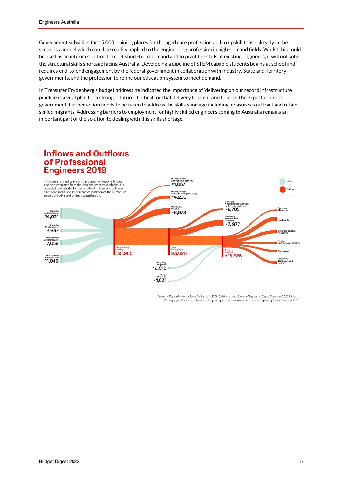Government subsidies for 15,000 training places for the aged care profession and to upskill those already in the sector is a model which could be readily applied to the engineering profession in high-demand fields. Whilst this could be used as an interim solution to meet short-term demand and to pivot the skills of existing engineers, it will not solve the structural skills shortage facing Australia. Developing a pipeline of STEM capable students begins at school and requires end-to-end engagement by the federal government in collaboration with industry, State and Territory governments, and the profession to refine our education system to meet demand.

In Treasurer Frydenberg's budget address he indicated the importance of 'delivering on our record infrastructure pipeline is a vital plan for a stronger future'. Critical for that delivery to occur and to meet the expectations of government, further action needs to be taken to address the skills shortage including measures to attract and retain skilled migrants. Addressing barriers to employment for highly skilled engineers coming to Australia remains an important part of the solution to dealing with this skills shortage.

#### **Inflows and Outflows** of Professional **Engineers 2019**



Australian Engineering Higher Education Statistics 2009-2019, Australian Council of Engineering Deans, December 2020 & King, I Morking Paper: Pipelines into Professional Engineering Occupations, Australian Council of Engineering Deans, December 2021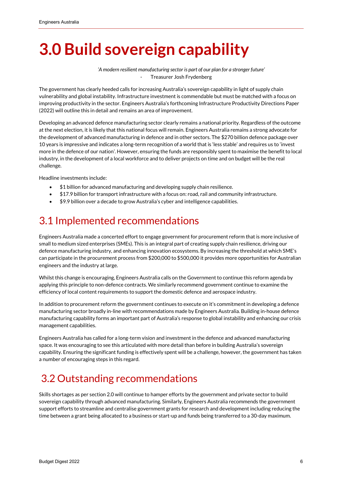### **3.0 Build sovereign capability**

*'A modern resilient manufacturing sector is part of our plan for a stronger future'* - Treasurer Josh Frydenberg

The government has clearly heeded calls for increasing Australia's sovereign capability in light of supply chain vulnerability and global instability. Infrastructure investment is commendable but must be matched with a focus on improving productivity in the sector. Engineers Australia's forthcoming Infrastructure Productivity Directions Paper (2022) will outline this in detail and remains an area of improvement.

Developing an advanced defence manufacturing sector clearly remains a national priority. Regardless of the outcome at the next election, it is likely that this national focus will remain. Engineers Australia remains a strong advocate for the development of advanced manufacturing in defence and in other sectors. The \$270 billion defence package over 10 years is impressive and indicates a long-term recognition of a world that is 'less stable' and requires us to 'invest more in the defence of our nation'. However, ensuring the funds are responsibly spent to maximise the benefit to local industry, in the development of a local workforce and to deliver projects on time and on budget will be the real challenge.

Headline investments include:

- \$1 billion for advanced manufacturing and developing supply chain resilience.
- \$17.9 billion for transport infrastructure with a focus on: road, rail and community infrastructure.
- \$9.9 billion over a decade to grow Australia's cyber and intelligence capabilities.

### 3.1 Implemented recommendations

Engineers Australia made a concerted effort to engage government for procurement reform that is more inclusive of small to medium sized enterprises (SMEs). This is an integral part of creating supply chain resilience, driving our defence manufacturing industry, and enhancing innovation ecosystems. By increasing the threshold at which SME's can participate in the procurement process from \$200,000 to \$500,000 it provides more opportunities for Australian engineers and the industry at large.

Whilst this change is encouraging, Engineers Australia calls on the Government to continue this reform agenda by applying this principle to non-defence contracts. We similarly recommend government continue to examine the efficiency of local content requirements to support the domestic defence and aerospace industry.

In addition to procurement reform the government continues to execute on it's commitment in developing a defence manufacturing sector broadly in-line with recommendations made by Engineers Australia. Building in-house defence manufacturing capability forms an important part of Australia's response to global instability and enhancing our crisis management capabilities.

Engineers Australia has called for a long-term vision and investment in the defence and advanced manufacturing space. It was encouraging to see this articulated with more detail than before in building Australia's sovereign capability. Ensuring the significant funding is effectively spent will be a challenge, however, the government has taken a number of encouraging steps in this regard.

### 3.2 Outstanding recommendations

Skills shortages as per section 2.0 will continue to hamper efforts by the government and private sector to build sovereign capability through advanced manufacturing. Similarly, Engineers Australia recommends the government support efforts to streamline and centralise government grants for research and development including reducing the time between a grant being allocated to a business or start-up and funds being transferred to a 30-day maximum.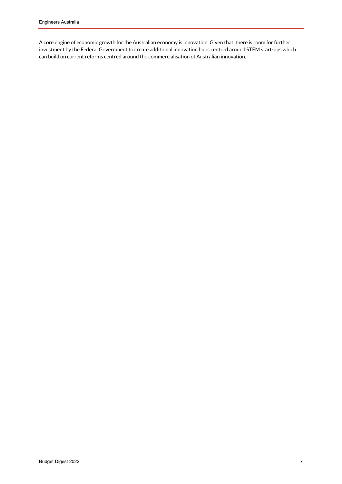A core engine of economic growth for the Australian economy is innovation. Given that, there is room for further investment by the Federal Government to create additional innovation hubs centred around STEM start-ups which can build on current reforms centred around the commercialisation of Australian innovation.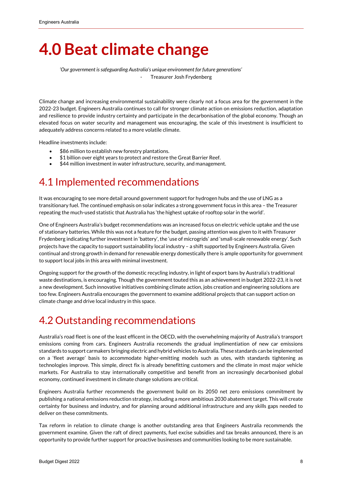### **4.0 Beat climate change**

*'Our government is safeguarding Australia's unique environment for future generations'* - Treasurer Josh Frydenberg

Climate change and increasing environmental sustainability were clearly not a focus area for the government in the 2022-23 budget. Engineers Australia continues to call for stronger climate action on emissions reduction, adaptation and resilience to provide industry certainty and participate in the decarbonisation of the global economy. Though an elevated focus on water security and management was encouraging, the scale of this investment is insufficient to adequately address concerns related to a more volatile climate.

Headline investments include:

- \$86 million to establish new forestry plantations.
- \$1 billion over eight years to protect and restore the Great Barrier Reef.
- \$44 million investment in water infrastructure, security, and management.

#### 4.1 Implemented recommendations

It was encouraging to see more detail around government support for hydrogen hubs and the use of LNG as a transitionary fuel. The continued emphasis on solar indicates a strong government focus in this area – the Treasurer repeating the much-used statistic that Australia has 'the highest uptake of rooftop solar in the world'.

One of Engineers Australia's budget recommendations was an increased focus on electric vehicle uptake and the use of stationary batteries. While this was not a feature for the budget, passing attention was given to it with Treasurer Frydenberg indicating further investment in 'battery', the 'use of microgrids' and 'small-scale renewable energy'. Such projects have the capacity to support sustainability local industry – a shift supported by Engineers Australia. Given continual and strong growth in demand for renewable energy domestically there is ample opportunity for government to support local jobs in this area with minimal investment.

Ongoing support for the growth of the domestic recycling industry, in light of export bans by Australia's traditional waste destinations, is encouraging. Though the government touted this as an achievement in budget 2022-23, it is not a new development. Such innovative initiatives combining climate action, jobs creation and engineering solutions are too few. Engineers Australia encourages the government to examine additional projects that can support action on climate change and drive local industry in this space.

#### 4.2 Outstanding recommendations

Australia's road fleet is one of the least efficent in the OECD, with the overwhelming majority of Australia's transport emissions coming from cars. Engineers Australia recomends the gradual implimentiation of new car emissions standards to support carmakers bringing electric and hybrid vehicles to Australia. These standards can be implemented on a 'fleet average' basis to accommodate higher-emitting models such as utes, with standards tightening as technologies improve. This simple, direct fix is already benefitting customers and the climate in most major vehicle markets. For Australia to stay internationally competitive and benefit from an increasingly decarbonised global economy, continued investment in climate change solutions are critical.

Engineers Australia further recommends the government build on its 2050 net zero emissions commitment by publishing a national emissions reduction strategy, including a more ambitious 2030 abatement target. This will create certainty for business and industry, and for planning around additional infrastructure and any skills gaps needed to deliver on these commitments.

Tax reform in relation to climate change is another outstanding area that Engineers Australia recommends the government examine. Given the raft of direct payments, fuel excise subsidies and tax breaks announced, there is an opportunity to provide further support for proactive businesses and communities looking to be more sustainable.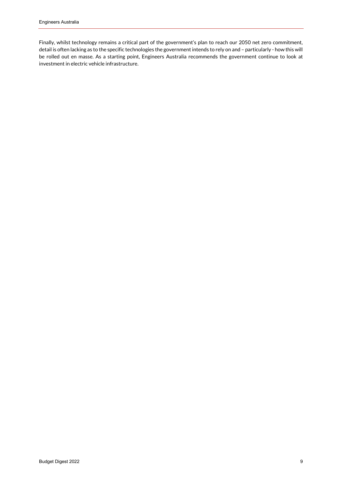Finally, whilst technology remains a critical part of the government's plan to reach our 2050 net zero commitment, detail is often lacking as to the specific technologies the government intends to rely on and – particularly - how this will be rolled out en masse. As a starting point, Engineers Australia recommends the government continue to look at investment in electric vehicle infrastructure.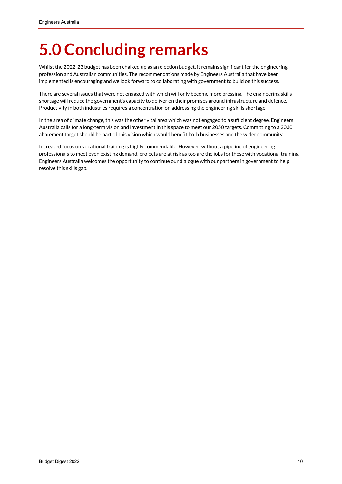## **5.0 Concluding remarks**

Whilst the 2022-23 budget has been chalked up as an election budget, it remains significant for the engineering profession and Australian communities. The recommendations made by Engineers Australia that have been implemented is encouraging and we look forward to collaborating with government to build on this success.

There are several issues that were not engaged with which will only become more pressing. The engineering skills shortage will reduce the government's capacity to deliver on their promises around infrastructure and defence. Productivity in both industries requires a concentration on addressing the engineering skills shortage.

In the area of climate change, this was the other vital area which was not engaged to a sufficient degree. Engineers Australia calls for a long-term vision and investment in this space to meet our 2050 targets. Committing to a 2030 abatement target should be part of this vision which would benefit both businesses and the wider community.

Increased focus on vocational training is highly commendable. However, without a pipeline of engineering professionals to meet even existing demand, projects are at risk as too are the jobs for those with vocational training. Engineers Australia welcomes the opportunity to continue our dialogue with our partners in government to help resolve this skills gap.